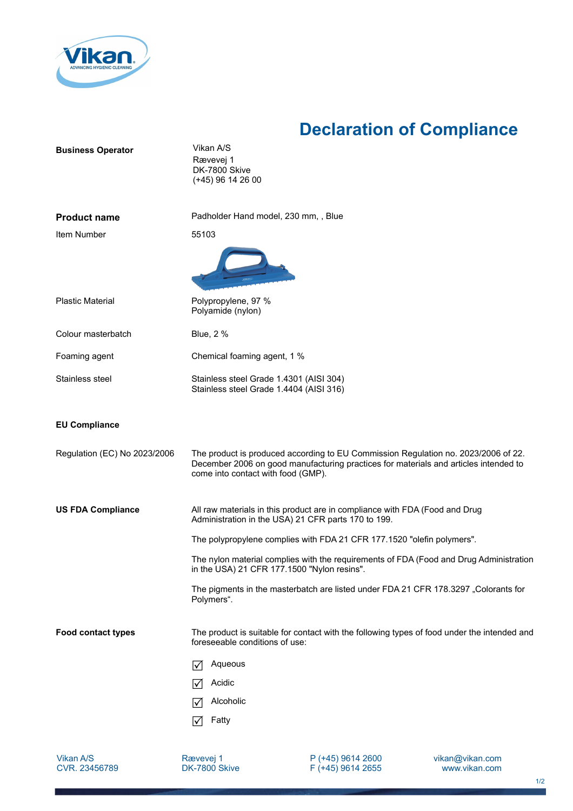

## **Declaration of Compliance**

| <b>Business Operator</b>     | Vikan A/S<br>Rævevej 1<br>DK-7800 Skive<br>$(+45)$ 96 14 26 00                                                                                                                                                   |
|------------------------------|------------------------------------------------------------------------------------------------------------------------------------------------------------------------------------------------------------------|
| <b>Product name</b>          | Padholder Hand model, 230 mm, , Blue                                                                                                                                                                             |
| Item Number                  | 55103                                                                                                                                                                                                            |
|                              |                                                                                                                                                                                                                  |
| <b>Plastic Material</b>      | Polypropylene, 97 %<br>Polyamide (nylon)                                                                                                                                                                         |
| Colour masterbatch           | <b>Blue, 2 %</b>                                                                                                                                                                                                 |
| Foaming agent                | Chemical foaming agent, 1 %                                                                                                                                                                                      |
| Stainless steel              | Stainless steel Grade 1.4301 (AISI 304)<br>Stainless steel Grade 1.4404 (AISI 316)                                                                                                                               |
| <b>EU Compliance</b>         |                                                                                                                                                                                                                  |
| Regulation (EC) No 2023/2006 | The product is produced according to EU Commission Regulation no. 2023/2006 of 22.<br>December 2006 on good manufacturing practices for materials and articles intended to<br>come into contact with food (GMP). |
| <b>US FDA Compliance</b>     | All raw materials in this product are in compliance with FDA (Food and Drug<br>Administration in the USA) 21 CFR parts 170 to 199.                                                                               |
|                              | The polypropylene complies with FDA 21 CFR 177.1520 "olefin polymers".                                                                                                                                           |
|                              | The nylon material complies with the requirements of FDA (Food and Drug Administration<br>in the USA) 21 CFR 177.1500 "Nylon resins".                                                                            |
|                              | The pigments in the masterbatch are listed under FDA 21 CFR 178.3297 "Colorants for<br>Polymers".                                                                                                                |
| <b>Food contact types</b>    | The product is suitable for contact with the following types of food under the intended and<br>foreseeable conditions of use:                                                                                    |
|                              | Aqueous<br>M                                                                                                                                                                                                     |
|                              | Acidic<br>I√l                                                                                                                                                                                                    |
|                              | Alcoholic<br>I√                                                                                                                                                                                                  |
|                              | Fatty<br>l٧                                                                                                                                                                                                      |

Vikan A/S CVR. 23456789

Rævevej 1 DK-7800 Skive P (+45) 9614 2600 F (+45) 9614 2655 vikan@vikan.com www.vikan.com